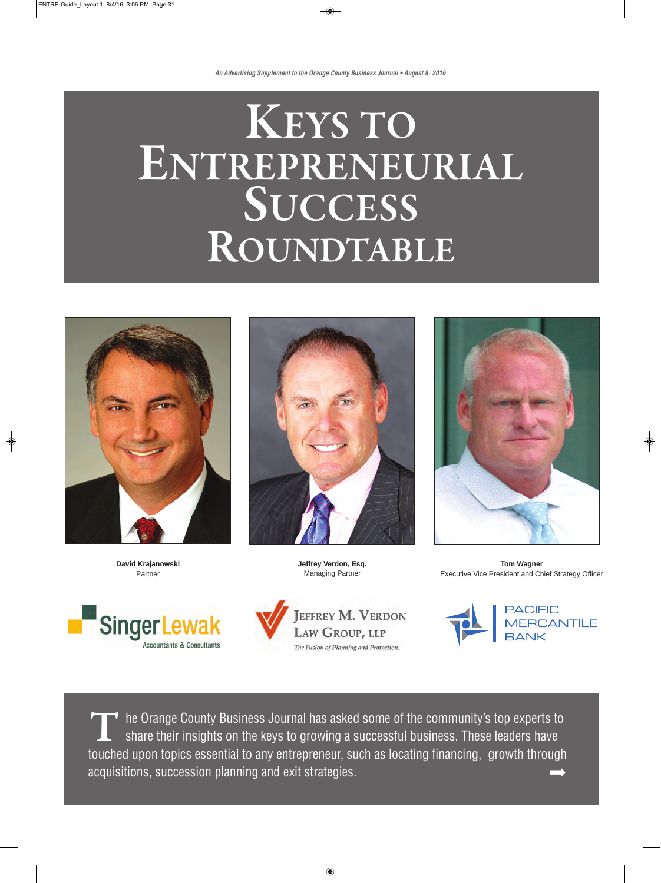# **KEYS TO ENTREPRENEURIAL SUCCESS ROUNDTABLE**



**David Krajanowski** Partner





**Jeffrey Verdon, Esq.** Managing Partner





**Tom Wagner** Executive Vice President and Chief Strategy Officer



The Orange County Business Journal has asked some of the community's top experts to<br>share their insights on the keys to growing a successful business. These leaders have share their insights on the keys to growing a successful business. These leaders have touched upon topics essential to any entrepreneur, such as locating financing, growth through acquisitions, succession planning and exit strategies. ∞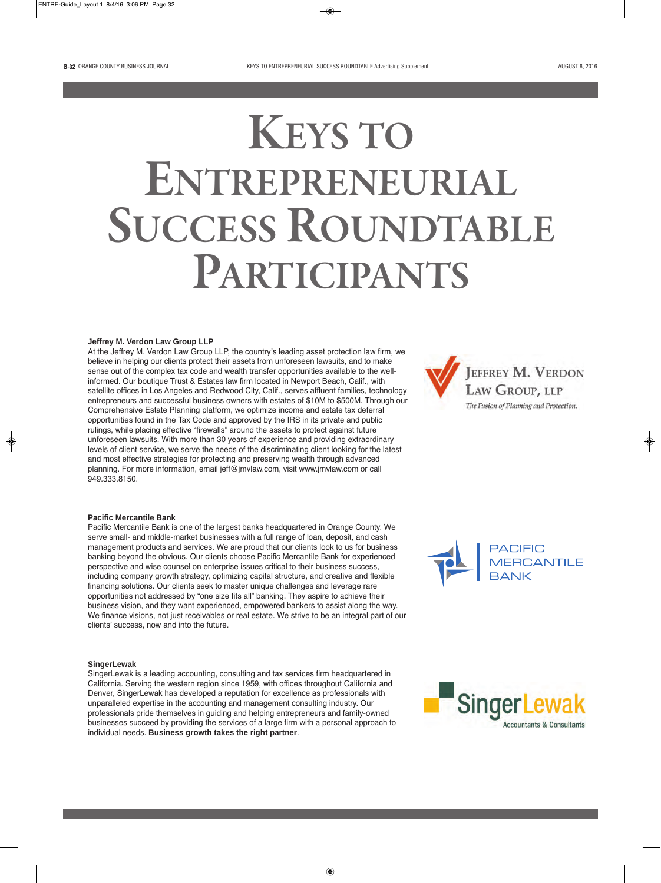# **KEYS TO ENTREPRENEURIAL SUCCESS ROUNDTABLE PARTICIPANTS**

### **Jeffrey M. Verdon Law Group LLP**

At the Jeffrey M. Verdon Law Group LLP, the country's leading asset protection law firm, we believe in helping our clients protect their assets from unforeseen lawsuits, and to make sense out of the complex tax code and wealth transfer opportunities available to the wellinformed. Our boutique Trust & Estates law firm located in Newport Beach, Calif., with satellite offices in Los Angeles and Redwood City, Calif., serves affluent families, technology entrepreneurs and successful business owners with estates of \$10M to \$500M. Through our Comprehensive Estate Planning platform, we optimize income and estate tax deferral opportunities found in the Tax Code and approved by the IRS in its private and public rulings, while placing effective "firewalls" around the assets to protect against future unforeseen lawsuits. With more than 30 years of experience and providing extraordinary levels of client service, we serve the needs of the discriminating client looking for the latest and most effective strategies for protecting and preserving wealth through advanced planning. For more information, email jeff@jmvlaw.com, visit www.jmvlaw.com or call 949.333.8150.



#### **Pacific Mercantile Bank**

Pacific Mercantile Bank is one of the largest banks headquartered in Orange County. We serve small- and middle-market businesses with a full range of loan, deposit, and cash management products and services. We are proud that our clients look to us for business banking beyond the obvious. Our clients choose Pacific Mercantile Bank for experienced perspective and wise counsel on enterprise issues critical to their business success, including company growth strategy, optimizing capital structure, and creative and flexible financing solutions. Our clients seek to master unique challenges and leverage rare opportunities not addressed by "one size fits all" banking. They aspire to achieve their business vision, and they want experienced, empowered bankers to assist along the way. We finance visions, not just receivables or real estate. We strive to be an integral part of our clients' success, now and into the future.

#### **SingerLewak**

SingerLewak is a leading accounting, consulting and tax services firm headquartered in California. Serving the western region since 1959, with offices throughout California and Denver, SingerLewak has developed a reputation for excellence as professionals with unparalleled expertise in the accounting and management consulting industry. Our professionals pride themselves in guiding and helping entrepreneurs and family-owned businesses succeed by providing the services of a large firm with a personal approach to individual needs. **Business growth takes the right partner**.



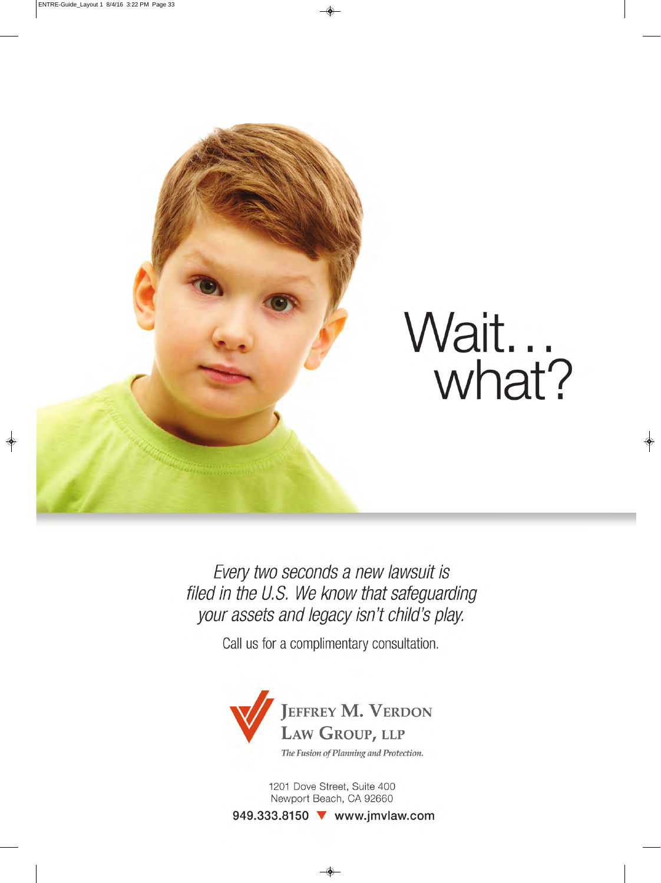

Every two seconds a new lawsuit is filed in the U.S. We know that safeguarding your assets and legacy isn't child's play.

Call us for a complimentary consultation.



1201 Dove Street, Suite 400 Newport Beach, CA 92660

949.333.8150 **V** www.jmvlaw.com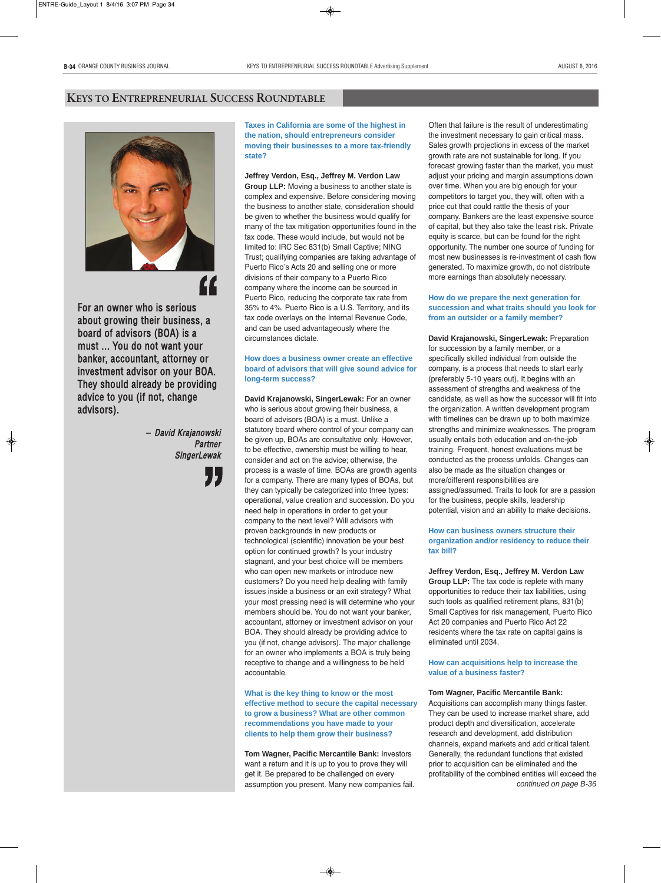### **KEYS TO ENTREPRENEURIAL SUCCESS ROUNDTABLE**



For an owner who is serious about growing their business, a board of advisors (BOA) is a must ... You do not want your banker, accountant, attorney or investment advisor on your BOA. They should already be providing advice to you (if not, change advisors). **""**<br>s, a

> – David Krajanowski Partner **SingerLewak**

> > "<br>"

**Taxes in California are some of the highest in the nation, should entrepreneurs consider moving their businesses to a more tax-friendly state?**

### **Jeffrey Verdon, Esq., Jeffrey M. Verdon Law**

**Group LLP:** Moving a business to another state is complex and expensive. Before considering moving the business to another state, consideration should be given to whether the business would qualify for many of the tax mitigation opportunities found in the tax code. These would include, but would not be limited to: IRC Sec 831(b) Small Captive; NING Trust; qualifying companies are taking advantage of Puerto Rico's Acts 20 and selling one or more divisions of their company to a Puerto Rico company where the income can be sourced in Puerto Rico, reducing the corporate tax rate from 35% to 4%. Puerto Rico is a U.S. Territory, and its tax code overlays on the Internal Revenue Code, and can be used advantageously where the circumstances dictate.

### **How does a business owner create an effective board of advisors that will give sound advice for long-term success?**

**David Krajanowski, SingerLewak:** For an owner who is serious about growing their business, a board of advisors (BOA) is a must. Unlike a statutory board where control of your company can be given up, BOAs are consultative only. However, to be effective, ownership must be willing to hear, consider and act on the advice; otherwise, the process is a waste of time. BOAs are growth agents for a company. There are many types of BOAs, but they can typically be categorized into three types: operational, value creation and succession. Do you need help in operations in order to get your company to the next level? Will advisors with proven backgrounds in new products or technological (scientific) innovation be your best option for continued growth? Is your industry stagnant, and your best choice will be members who can open new markets or introduce new customers? Do you need help dealing with family issues inside a business or an exit strategy? What your most pressing need is will determine who your members should be. You do not want your banker, accountant, attorney or investment advisor on your BOA. They should already be providing advice to you (if not, change advisors). The major challenge for an owner who implements a BOA is truly being receptive to change and a willingness to be held accountable.

**What is the key thing to know or the most effective method to secure the capital necessary to grow a business? What are other common recommendations you have made to your clients to help them grow their business?**

**Tom Wagner, Pacific Mercantile Bank:** Investors want a return and it is up to you to prove they will get it. Be prepared to be challenged on every assumption you present. Many new companies fail.

Often that failure is the result of underestimating the investment necessary to gain critical mass. Sales growth projections in excess of the market growth rate are not sustainable for long. If you forecast growing faster than the market, you must adjust your pricing and margin assumptions down over time. When you are big enough for your competitors to target you, they will, often with a price cut that could rattle the thesis of your company. Bankers are the least expensive source of capital, but they also take the least risk. Private equity is scarce, but can be found for the right opportunity. The number one source of funding for most new businesses is re-investment of cash flow generated. To maximize growth, do not distribute more earnings than absolutely necessary.

### **How do we prepare the next generation for succession and what traits should you look for from an outsider or a family member?**

**David Krajanowski, SingerLewak:** Preparation for succession by a family member, or a specifically skilled individual from outside the company, is a process that needs to start early (preferably 5-10 years out). It begins with an assessment of strengths and weakness of the candidate, as well as how the successor will fit into the organization. A written development program with timelines can be drawn up to both maximize strengths and minimize weaknesses. The program usually entails both education and on-the-job training. Frequent, honest evaluations must be conducted as the process unfolds. Changes can also be made as the situation changes or more/different responsibilities are assigned/assumed. Traits to look for are a passion for the business, people skills, leadership potential, vision and an ability to make decisions.

### **How can business owners structure their organization and/or residency to reduce their tax bill?**

**Jeffrey Verdon, Esq., Jeffrey M. Verdon Law Group LLP:** The tax code is replete with many opportunities to reduce their tax liabilities, using such tools as qualified retirement plans, 831(b) Small Captives for risk management, Puerto Rico Act 20 companies and Puerto Rico Act 22 residents where the tax rate on capital gains is eliminated until 2034.

### **How can acquisitions help to increase the value of a business faster?**

**Tom Wagner, Pacific Mercantile Bank:**

Acquisitions can accomplish many things faster. They can be used to increase market share, add product depth and diversification, accelerate research and development, add distribution channels, expand markets and add critical talent. Generally, the redundant functions that existed prior to acquisition can be eliminated and the profitability of the combined entities will exceed the *continued on page B-36*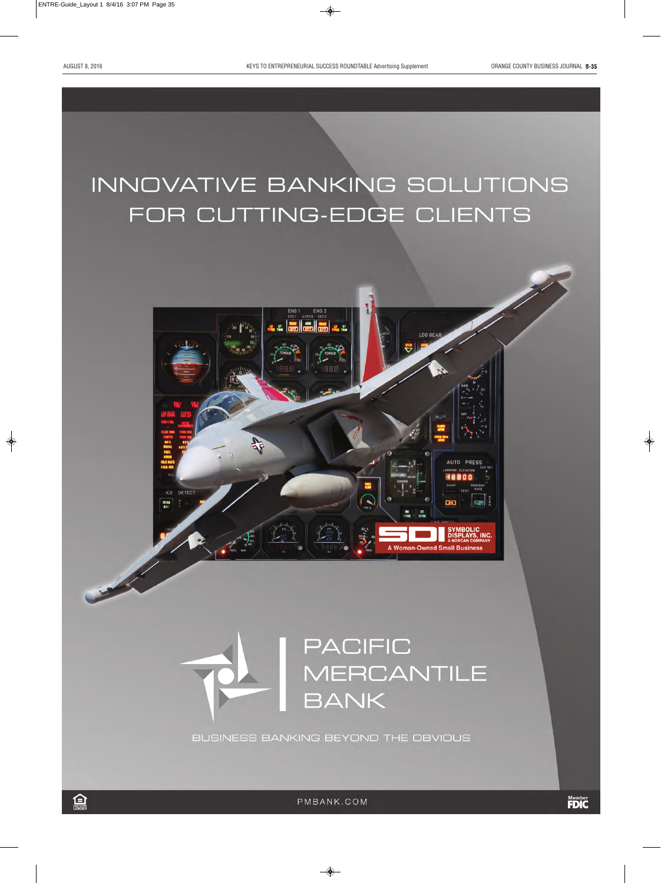**AUTO PRESS** 

**SPLAYS, INC.** 

**A Woman-Owned Small Business** 

## INNOVATIVE BANKING SOLUTIONS FOR CUTTING-EDGE CLIENTS



BUSINESS BANKING BEYOND THE OBVIOUS

ICE

**ICING**<br>AOA

DETECT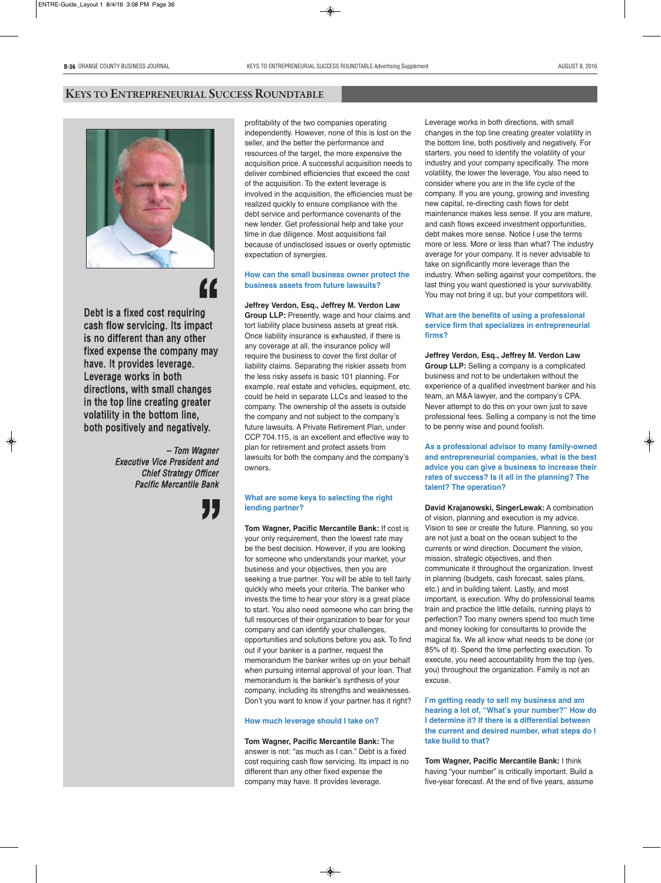

Debt is a fixed cost requiring cash flow servicing. Its impact is no different than any other fixed expense the company may have. It provides leverage. Leverage works in both directions, with small changes in the top line creating greater volatility in the bottom line, both positively and negatively. **INDENTIFICATION**<br>ng<br>pact<br>ler

> – Tom Wagner Executive Vice President and Chief Strategy Officer Pacific Mercantile Bank



profitability of the two companies operating independently. However, none of this is lost on the seller, and the better the performance and resources of the target, the more expensive the acquisition price. A successful acquisition needs to deliver combined efficiencies that exceed the cost of the acquisition. To the extent leverage is involved in the acquisition, the efficiencies must be realized quickly to ensure compliance with the debt service and performance covenants of the new lender. Get professional help and take your time in due diligence. Most acquisitions fail because of undisclosed issues or overly optimistic expectation of synergies.

### **How can the small business owner protect the business assets from future lawsuits?**

**Jeffrey Verdon, Esq., Jeffrey M. Verdon Law Group LLP:** Presently, wage and hour claims and tort liability place business assets at great risk. Once liability insurance is exhausted, if there is any coverage at all, the insurance policy will require the business to cover the first dollar of liability claims. Separating the riskier assets from the less risky assets is basic 101 planning. For example, real estate and vehicles, equipment, etc. could be held in separate LLCs and leased to the company. The ownership of the assets is outside the company and not subject to the company's future lawsuits. A Private Retirement Plan, under CCP 704.115, is an excellent and effective way to plan for retirement and protect assets from lawsuits for both the company and the company's owners.

### **What are some keys to selecting the right lending partner?**

**Tom Wagner, Pacific Mercantile Bank:** If cost is your only requirement, then the lowest rate may be the best decision. However, if you are looking for someone who understands your market, your business and your objectives, then you are seeking a true partner. You will be able to tell fairly quickly who meets your criteria. The banker who invests the time to hear your story is a great place to start. You also need someone who can bring the full resources of their organization to bear for your company and can identify your challenges, opportunities and solutions before you ask. To find out if your banker is a partner, request the memorandum the banker writes up on your behalf when pursuing internal approval of your loan. That memorandum is the banker's synthesis of your company, including its strengths and weaknesses. Don't you want to know if your partner has it right?

### **How much leverage should I take on?**

**Tom Wagner, Pacific Mercantile Bank:** The answer is not: "as much as I can." Debt is a fixed cost requiring cash flow servicing. Its impact is no different than any other fixed expense the company may have. It provides leverage.

Leverage works in both directions, with small changes in the top line creating greater volatility in the bottom line, both positively and negatively. For starters, you need to identify the volatility of your industry and your company specifically. The more volatility, the lower the leverage. You also need to consider where you are in the life cycle of the company. If you are young, growing and investing new capital, re-directing cash flows for debt maintenance makes less sense. If you are mature, and cash flows exceed investment opportunities, debt makes more sense. Notice I use the terms more or less. More or less than what? The industry average for your company. It is never advisable to take on significantly more leverage than the industry. When selling against your competitors, the last thing you want questioned is your survivability. You may not bring it up, but your competitors will.

### **What are the benefits of using a professional service firm that specializes in entrepreneurial firms?**

**Jeffrey Verdon, Esq., Jeffrey M. Verdon Law Group LLP:** Selling a company is a complicated business and not to be undertaken without the experience of a qualified investment banker and his team, an M&A lawyer, and the company's CPA. Never attempt to do this on your own just to save professional fees. Selling a company is not the time to be penny wise and pound foolish.

### **As a professional advisor to many family-owned and entrepreneurial companies, what is the best advice you can give a business to increase their rates of success? Is it all in the planning? The talent? The operation?**

**David Krajanowski, SingerLewak:** A combination of vision, planning and execution is my advice. Vision to see or create the future. Planning, so you are not just a boat on the ocean subject to the currents or wind direction. Document the vision, mission, strategic objectives, and then communicate it throughout the organization. Invest in planning (budgets, cash forecast, sales plans, etc.) and in building talent. Lastly, and most important, is execution. Why do professional teams train and practice the little details, running plays to perfection? Too many owners spend too much time and money looking for consultants to provide the magical fix. We all know what needs to be done (or 85% of it). Spend the time perfecting execution. To execute, you need accountability from the top (yes, you) throughout the organization. Family is not an excuse.

**I'm getting ready to sell my business and am hearing a lot of, "What's your number?" How do I determine it? If there is a differential between the current and desired number, what steps do I take build to that?**

**Tom Wagner, Pacific Mercantile Bank:** I think having "your number" is critically important. Build a five-year forecast. At the end of five years, assume